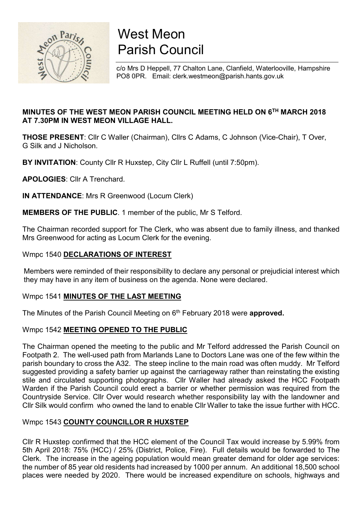

# West Meon Parish Council

c/o Mrs D Heppell, 77 Chalton Lane, Clanfield, Waterlooville, Hampshire PO8 0PR. Email: clerk.westmeon@parish.hants.gov.uk

# MINUTES OF THE WEST MEON PARISH COUNCIL MEETING HELD ON 6TH MARCH 2018 AT 7.30PM IN WEST MEON VILLAGE HALL.

THOSE PRESENT: Cllr C Waller (Chairman), Cllrs C Adams, C Johnson (Vice-Chair), T Over, G Silk and J Nicholson.

BY INVITATION: County Cllr R Huxstep, City Cllr L Ruffell (until 7:50pm).

APOLOGIES: Cllr A Trenchard.

IN ATTENDANCE: Mrs R Greenwood (Locum Clerk)

MEMBERS OF THE PUBLIC. 1 member of the public, Mr S Telford.

The Chairman recorded support for The Clerk, who was absent due to family illness, and thanked Mrs Greenwood for acting as Locum Clerk for the evening.

# Wmpc 1540 DECLARATIONS OF INTEREST

 Members were reminded of their responsibility to declare any personal or prejudicial interest which they may have in any item of business on the agenda. None were declared.

## Wmpc 1541 MINUTES OF THE LAST MEETING

The Minutes of the Parish Council Meeting on 6<sup>th</sup> February 2018 were approved.

## Wmpc 1542 MEETING OPENED TO THE PUBLIC

The Chairman opened the meeting to the public and Mr Telford addressed the Parish Council on Footpath 2. The well-used path from Marlands Lane to Doctors Lane was one of the few within the parish boundary to cross the A32. The steep incline to the main road was often muddy. Mr Telford suggested providing a safety barrier up against the carriageway rather than reinstating the existing stile and circulated supporting photographs. Cllr Waller had already asked the HCC Footpath Warden if the Parish Council could erect a barrier or whether permission was required from the Countryside Service. Cllr Over would research whether responsibility lay with the landowner and Cllr Silk would confirm who owned the land to enable Cllr Waller to take the issue further with HCC.

## Wmpc 1543 COUNTY COUNCILLOR R HUXSTEP

Cllr R Huxstep confirmed that the HCC element of the Council Tax would increase by 5.99% from 5th April 2018: 75% (HCC) / 25% (District, Police, Fire). Full details would be forwarded to The Clerk. The increase in the ageing population would mean greater demand for older age services: the number of 85 year old residents had increased by 1000 per annum. An additional 18,500 school places were needed by 2020. There would be increased expenditure on schools, highways and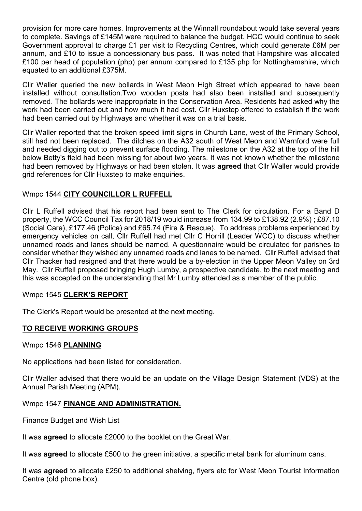provision for more care homes. Improvements at the Winnall roundabout would take several years to complete. Savings of £145M were required to balance the budget. HCC would continue to seek Government approval to charge £1 per visit to Recycling Centres, which could generate £6M per annum, and £10 to issue a concessionary bus pass. It was noted that Hampshire was allocated £100 per head of population (php) per annum compared to £135 php for Nottinghamshire, which equated to an additional £375M.

Cllr Waller queried the new bollards in West Meon High Street which appeared to have been installed without consultation.Two wooden posts had also been installed and subsequently removed. The bollards were inappropriate in the Conservation Area. Residents had asked why the work had been carried out and how much it had cost. Cllr Huxstep offered to establish if the work had been carried out by Highways and whether it was on a trial basis.

Cllr Waller reported that the broken speed limit signs in Church Lane, west of the Primary School, still had not been replaced. The ditches on the A32 south of West Meon and Warnford were full and needed digging out to prevent surface flooding. The milestone on the A32 at the top of the hill below Betty's field had been missing for about two years. It was not known whether the milestone had been removed by Highways or had been stolen. It was **agreed** that Cllr Waller would provide grid references for Cllr Huxstep to make enquiries.

## Wmpc 1544 CITY COUNCILLOR L RUFFELL

Cllr L Ruffell advised that his report had been sent to The Clerk for circulation. For a Band D property, the WCC Council Tax for 2018/19 would increase from 134.99 to £138.92 (2.9%) ; £87.10 (Social Care), £177.46 (Police) and £65.74 (Fire & Rescue). To address problems experienced by emergency vehicles on call, Cllr Ruffell had met Cllr C Horrill (Leader WCC) to discuss whether unnamed roads and lanes should be named. A questionnaire would be circulated for parishes to consider whether they wished any unnamed roads and lanes to be named. Cllr Ruffell advised that Cllr Thacker had resigned and that there would be a by-election in the Upper Meon Valley on 3rd May. Cllr Ruffell proposed bringing Hugh Lumby, a prospective candidate, to the next meeting and this was accepted on the understanding that Mr Lumby attended as a member of the public.

#### Wmpc 1545 CLERK'S REPORT

The Clerk's Report would be presented at the next meeting.

## TO RECEIVE WORKING GROUPS

#### Wmpc 1546 PLANNING

No applications had been listed for consideration.

Cllr Waller advised that there would be an update on the Village Design Statement (VDS) at the Annual Parish Meeting (APM).

## Wmpc 1547 FINANCE AND ADMINISTRATION.

Finance Budget and Wish List

It was agreed to allocate £2000 to the booklet on the Great War.

It was agreed to allocate £500 to the green initiative, a specific metal bank for aluminum cans.

It was **agreed** to allocate £250 to additional shelving, flyers etc for West Meon Tourist Information Centre (old phone box).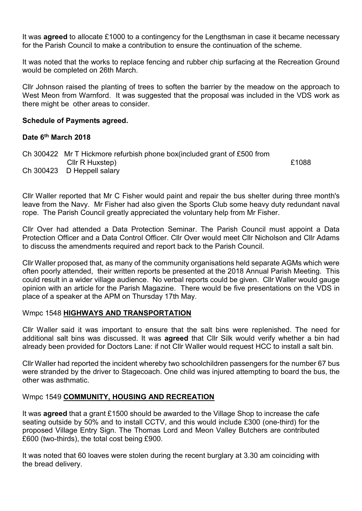It was **agreed** to allocate £1000 to a contingency for the Lengthsman in case it became necessary for the Parish Council to make a contribution to ensure the continuation of the scheme.

It was noted that the works to replace fencing and rubber chip surfacing at the Recreation Ground would be completed on 26th March.

Cllr Johnson raised the planting of trees to soften the barrier by the meadow on the approach to West Meon from Warnford. It was suggested that the proposal was included in the VDS work as there might be other areas to consider.

#### Schedule of Payments agreed.

#### Date 6th March 2018

Ch 300422 Mr T Hickmore refurbish phone box(included grant of £500 from Cllr R Huxstep) **E1088** Ch 300423 D Heppell salary

Cllr Waller reported that Mr C Fisher would paint and repair the bus shelter during three month's leave from the Navy. Mr Fisher had also given the Sports Club some heavy duty redundant naval rope. The Parish Council greatly appreciated the voluntary help from Mr Fisher.

Cllr Over had attended a Data Protection Seminar. The Parish Council must appoint a Data Protection Officer and a Data Control Officer. Cllr Over would meet Cllr Nicholson and Cllr Adams to discuss the amendments required and report back to the Parish Council.

Cllr Waller proposed that, as many of the community organisations held separate AGMs which were often poorly attended, their written reports be presented at the 2018 Annual Parish Meeting. This could result in a wider village audience. No verbal reports could be given. Cllr Waller would gauge opinion with an article for the Parish Magazine. There would be five presentations on the VDS in place of a speaker at the APM on Thursday 17th May.

#### Wmpc 1548 HIGHWAYS AND TRANSPORTATION

Cllr Waller said it was important to ensure that the salt bins were replenished. The need for additional salt bins was discussed. It was **agreed** that Cllr Silk would verify whether a bin had already been provided for Doctors Lane: if not Cllr Waller would request HCC to install a salt bin.

Cllr Waller had reported the incident whereby two schoolchildren passengers for the number 67 bus were stranded by the driver to Stagecoach. One child was injured attempting to board the bus, the other was asthmatic.

#### Wmpc 1549 COMMUNITY, HOUSING AND RECREATION

It was agreed that a grant £1500 should be awarded to the Village Shop to increase the cafe seating outside by 50% and to install CCTV, and this would include £300 (one-third) for the proposed Village Entry Sign. The Thomas Lord and Meon Valley Butchers are contributed £600 (two-thirds), the total cost being £900.

It was noted that 60 loaves were stolen during the recent burglary at 3.30 am coinciding with the bread delivery.